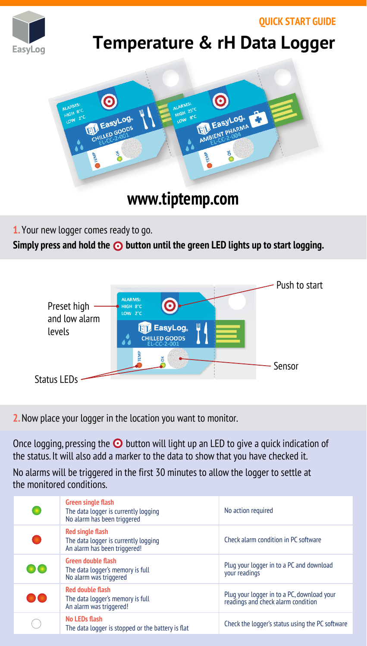**QUICK START GUIDE**



## **Temperature & rH Data Logger**



## **www.tiptemp.com**

**1.** Your new logger comes ready to go.

Simply press and hold the **O** button until the green LED lights up to start logging.



**2.** Now place your logger in the location you want to monitor.

Once logging, pressing the  $\odot$  button will light up an LED to give a quick indication of the status. It will also add a marker to the data to show that you have checked it.

No alarms will be triggered in the first 30 minutes to allow the logger to settle at the monitored conditions.

| <b>Green single flash</b><br>The data logger is currently logging<br>No alarm has been triggered | No action required                                                               |
|--------------------------------------------------------------------------------------------------|----------------------------------------------------------------------------------|
| Red single flash<br>The data logger is currently logging<br>An alarm has been triggered!         | Check alarm condition in PC software                                             |
| <b>Green double flash</b><br>The data logger's memory is full<br>No alarm was triggered          | Plug your logger in to a PC and download<br>vour readings                        |
| <b>Red double flash</b><br>The data logger's memory is full<br>An alarm was triggered!           | Plug your logger in to a PC, download your<br>readings and check alarm condition |
| No LEDs flash<br>The data logger is stopped or the battery is flat                               | Check the logger's status using the PC software                                  |